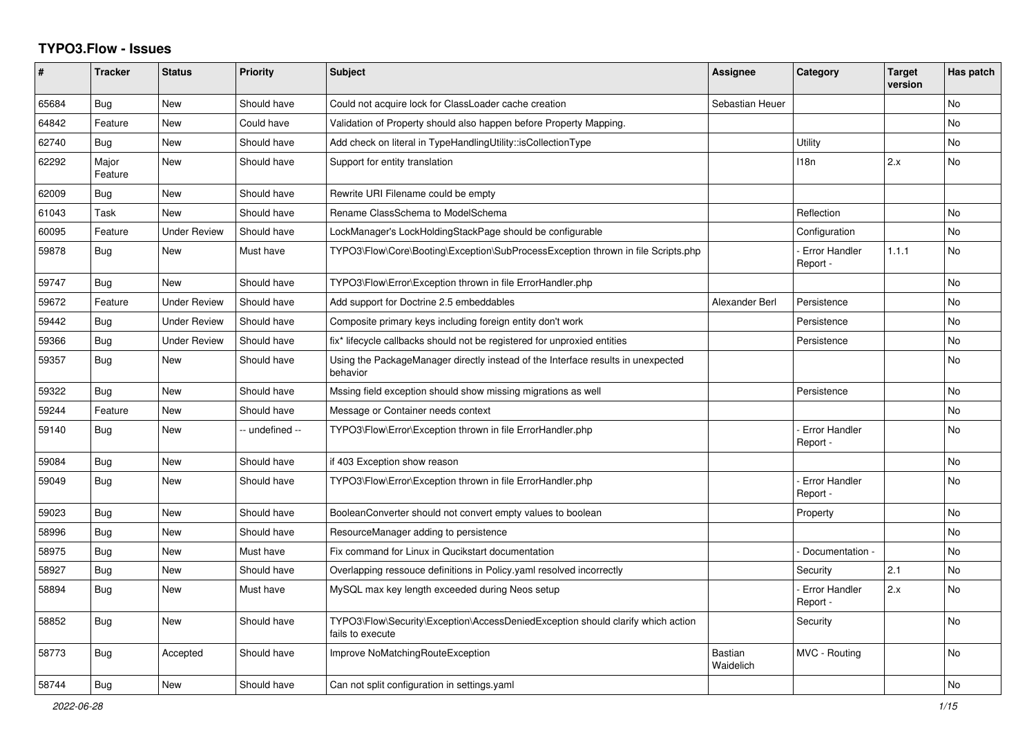## **TYPO3.Flow - Issues**

| #     | <b>Tracker</b>   | <b>Status</b>       | <b>Priority</b> | <b>Subject</b>                                                                                      | Assignee                    | <b>Category</b>                  | <b>Target</b><br>version | Has patch      |
|-------|------------------|---------------------|-----------------|-----------------------------------------------------------------------------------------------------|-----------------------------|----------------------------------|--------------------------|----------------|
| 65684 | Bug              | <b>New</b>          | Should have     | Could not acquire lock for ClassLoader cache creation                                               | Sebastian Heuer             |                                  |                          | No             |
| 64842 | Feature          | <b>New</b>          | Could have      | Validation of Property should also happen before Property Mapping.                                  |                             |                                  |                          | No.            |
| 62740 | Bug              | <b>New</b>          | Should have     | Add check on literal in TypeHandlingUtility::isCollectionType                                       |                             | Utility                          |                          | N <sub>o</sub> |
| 62292 | Major<br>Feature | <b>New</b>          | Should have     | Support for entity translation                                                                      |                             | 118n                             | 2.x                      | N <sub>o</sub> |
| 62009 | Bug              | <b>New</b>          | Should have     | Rewrite URI Filename could be empty                                                                 |                             |                                  |                          |                |
| 61043 | Task             | <b>New</b>          | Should have     | Rename ClassSchema to ModelSchema                                                                   |                             | Reflection                       |                          | No.            |
| 60095 | Feature          | <b>Under Review</b> | Should have     | LockManager's LockHoldingStackPage should be configurable                                           |                             | Configuration                    |                          | No             |
| 59878 | Bug              | <b>New</b>          | Must have       | TYPO3\Flow\Core\Booting\Exception\SubProcessException thrown in file Scripts.php                    |                             | <b>Error Handler</b><br>Report - | 1.1.1                    | N <sub>o</sub> |
| 59747 | Bug              | <b>New</b>          | Should have     | TYPO3\Flow\Error\Exception thrown in file ErrorHandler.php                                          |                             |                                  |                          | <b>No</b>      |
| 59672 | Feature          | <b>Under Review</b> | Should have     | Add support for Doctrine 2.5 embeddables                                                            | Alexander Berl              | Persistence                      |                          | N <sub>o</sub> |
| 59442 | Bug              | <b>Under Review</b> | Should have     | Composite primary keys including foreign entity don't work                                          |                             | Persistence                      |                          | N <sub>o</sub> |
| 59366 | Bug              | <b>Under Review</b> | Should have     | fix* lifecycle callbacks should not be registered for unproxied entities                            |                             | Persistence                      |                          | No             |
| 59357 | Bug              | <b>New</b>          | Should have     | Using the PackageManager directly instead of the Interface results in unexpected<br>behavior        |                             |                                  |                          | No.            |
| 59322 | <b>Bug</b>       | <b>New</b>          | Should have     | Mssing field exception should show missing migrations as well                                       |                             | Persistence                      |                          | N <sub>o</sub> |
| 59244 | Feature          | <b>New</b>          | Should have     | Message or Container needs context                                                                  |                             |                                  |                          | N <sub>o</sub> |
| 59140 | Bug              | <b>New</b>          | -- undefined -- | TYPO3\Flow\Error\Exception thrown in file ErrorHandler.php                                          |                             | <b>Error Handler</b><br>Report - |                          | N <sub>o</sub> |
| 59084 | Bug              | <b>New</b>          | Should have     | if 403 Exception show reason                                                                        |                             |                                  |                          | No             |
| 59049 | Bug              | <b>New</b>          | Should have     | TYPO3\Flow\Error\Exception thrown in file ErrorHandler.php                                          |                             | <b>Error Handler</b><br>Report - |                          | <b>No</b>      |
| 59023 | Bug              | <b>New</b>          | Should have     | BooleanConverter should not convert empty values to boolean                                         |                             | Property                         |                          | N <sub>o</sub> |
| 58996 | Bug              | <b>New</b>          | Should have     | ResourceManager adding to persistence                                                               |                             |                                  |                          | <b>No</b>      |
| 58975 | Bug              | <b>New</b>          | Must have       | Fix command for Linux in Qucikstart documentation                                                   |                             | Documentation -                  |                          | N <sub>o</sub> |
| 58927 | <b>Bug</b>       | <b>New</b>          | Should have     | Overlapping ressouce definitions in Policy yaml resolved incorrectly                                |                             | Security                         | 2.1                      | N <sub>o</sub> |
| 58894 | <b>Bug</b>       | New                 | Must have       | MySQL max key length exceeded during Neos setup                                                     |                             | <b>Error Handler</b><br>Report - | 2.x                      | N <sub>o</sub> |
| 58852 | <b>Bug</b>       | <b>New</b>          | Should have     | TYPO3\Flow\Security\Exception\AccessDeniedException should clarify which action<br>fails to execute |                             | Security                         |                          | N <sub>o</sub> |
| 58773 | Bug              | Accepted            | Should have     | Improve NoMatchingRouteException                                                                    | <b>Bastian</b><br>Waidelich | MVC - Routing                    |                          | No             |
| 58744 | <b>Bug</b>       | New                 | Should have     | Can not split configuration in settings yaml                                                        |                             |                                  |                          | No             |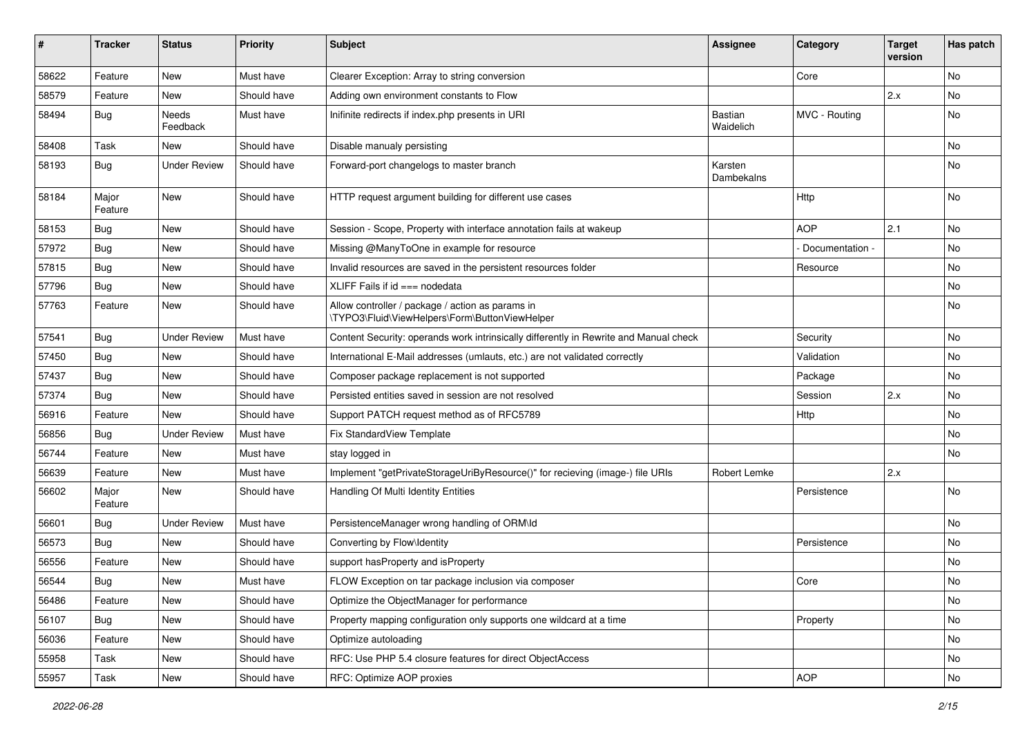| #     | <b>Tracker</b>   | <b>Status</b>       | <b>Priority</b> | Subject                                                                                            | Assignee                    | Category        | <b>Target</b><br>version | Has patch |
|-------|------------------|---------------------|-----------------|----------------------------------------------------------------------------------------------------|-----------------------------|-----------------|--------------------------|-----------|
| 58622 | Feature          | New                 | Must have       | Clearer Exception: Array to string conversion                                                      |                             | Core            |                          | No        |
| 58579 | Feature          | New                 | Should have     | Adding own environment constants to Flow                                                           |                             |                 | 2.x                      | No        |
| 58494 | <b>Bug</b>       | Needs<br>Feedback   | Must have       | Inifinite redirects if index.php presents in URI                                                   | <b>Bastian</b><br>Waidelich | MVC - Routing   |                          | No        |
| 58408 | Task             | New                 | Should have     | Disable manualy persisting                                                                         |                             |                 |                          | No        |
| 58193 | Bug              | <b>Under Review</b> | Should have     | Forward-port changelogs to master branch                                                           | Karsten<br>Dambekalns       |                 |                          | No        |
| 58184 | Major<br>Feature | New                 | Should have     | HTTP request argument building for different use cases                                             |                             | Http            |                          | No        |
| 58153 | <b>Bug</b>       | New                 | Should have     | Session - Scope, Property with interface annotation fails at wakeup                                |                             | <b>AOP</b>      | 2.1                      | No        |
| 57972 | <b>Bug</b>       | New                 | Should have     | Missing @ManyToOne in example for resource                                                         |                             | Documentation - |                          | No        |
| 57815 | Bug              | New                 | Should have     | Invalid resources are saved in the persistent resources folder                                     |                             | Resource        |                          | No        |
| 57796 | <b>Bug</b>       | New                 | Should have     | XLIFF Fails if $id ==$ nodedata                                                                    |                             |                 |                          | No        |
| 57763 | Feature          | New                 | Should have     | Allow controller / package / action as params in<br>\TYPO3\Fluid\ViewHelpers\Form\ButtonViewHelper |                             |                 |                          | No        |
| 57541 | Bug              | <b>Under Review</b> | Must have       | Content Security: operands work intrinsically differently in Rewrite and Manual check              |                             | Security        |                          | No        |
| 57450 | Bug              | New                 | Should have     | International E-Mail addresses (umlauts, etc.) are not validated correctly                         |                             | Validation      |                          | No        |
| 57437 | Bug              | New                 | Should have     | Composer package replacement is not supported                                                      |                             | Package         |                          | No        |
| 57374 | <b>Bug</b>       | New                 | Should have     | Persisted entities saved in session are not resolved                                               |                             | Session         | 2.x                      | No        |
| 56916 | Feature          | <b>New</b>          | Should have     | Support PATCH request method as of RFC5789                                                         |                             | Http            |                          | <b>No</b> |
| 56856 | Bug              | <b>Under Review</b> | Must have       | Fix StandardView Template                                                                          |                             |                 |                          | No        |
| 56744 | Feature          | New                 | Must have       | stay logged in                                                                                     |                             |                 |                          | No        |
| 56639 | Feature          | New                 | Must have       | Implement "getPrivateStorageUriByResource()" for recieving (image-) file URIs                      | Robert Lemke                |                 | 2.x                      |           |
| 56602 | Major<br>Feature | New                 | Should have     | Handling Of Multi Identity Entities                                                                |                             | Persistence     |                          | No        |
| 56601 | <b>Bug</b>       | <b>Under Review</b> | Must have       | PersistenceManager wrong handling of ORM\ld                                                        |                             |                 |                          | No        |
| 56573 | <b>Bug</b>       | New                 | Should have     | Converting by Flow\Identity                                                                        |                             | Persistence     |                          | No        |
| 56556 | Feature          | New                 | Should have     | support hasProperty and isProperty                                                                 |                             |                 |                          | No        |
| 56544 | Bug              | New                 | Must have       | FLOW Exception on tar package inclusion via composer                                               |                             | Core            |                          | No        |
| 56486 | Feature          | New                 | Should have     | Optimize the ObjectManager for performance                                                         |                             |                 |                          | No        |
| 56107 | <b>Bug</b>       | New                 | Should have     | Property mapping configuration only supports one wildcard at a time                                |                             | Property        |                          | No        |
| 56036 | Feature          | New                 | Should have     | Optimize autoloading                                                                               |                             |                 |                          | No        |
| 55958 | Task             | New                 | Should have     | RFC: Use PHP 5.4 closure features for direct ObjectAccess                                          |                             |                 |                          | No        |
| 55957 | Task             | New                 | Should have     | RFC: Optimize AOP proxies                                                                          |                             | AOP             |                          | No        |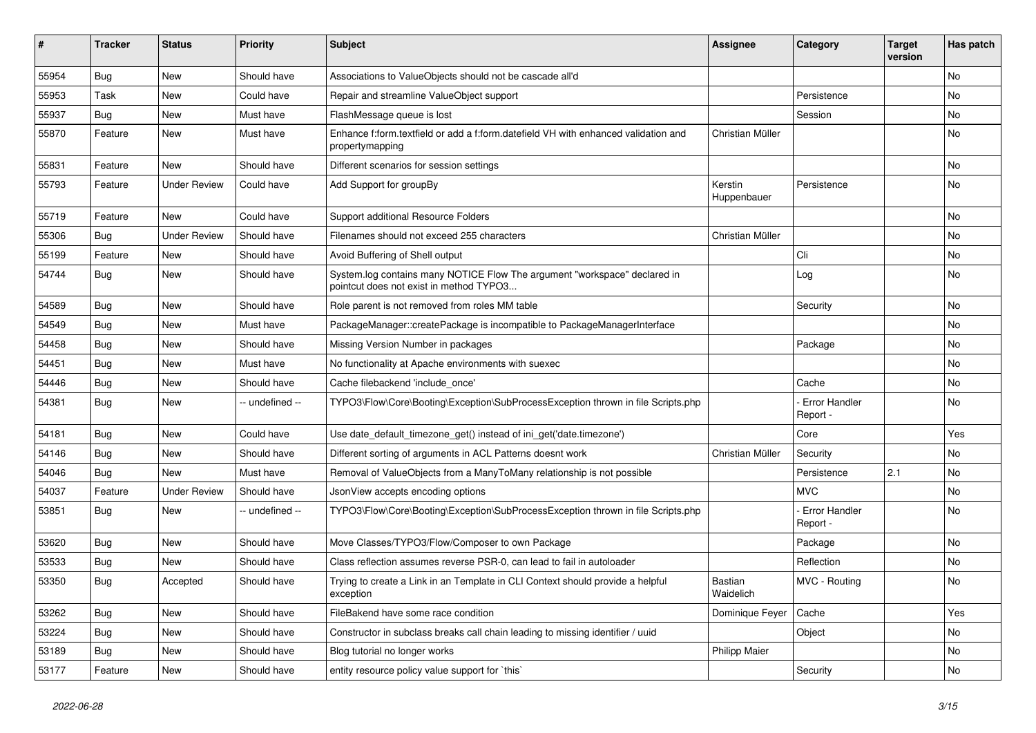| #     | <b>Tracker</b> | <b>Status</b>       | <b>Priority</b> | <b>Subject</b>                                                                                                       | <b>Assignee</b>        | Category                         | <b>Target</b><br>version | Has patch |
|-------|----------------|---------------------|-----------------|----------------------------------------------------------------------------------------------------------------------|------------------------|----------------------------------|--------------------------|-----------|
| 55954 | Bug            | <b>New</b>          | Should have     | Associations to ValueObjects should not be cascade all'd                                                             |                        |                                  |                          | No        |
| 55953 | Task           | New                 | Could have      | Repair and streamline ValueObject support                                                                            |                        | Persistence                      |                          | No        |
| 55937 | <b>Bug</b>     | New                 | Must have       | FlashMessage queue is lost                                                                                           |                        | Session                          |                          | No        |
| 55870 | Feature        | New                 | Must have       | Enhance f:form.textfield or add a f:form.datefield VH with enhanced validation and<br>propertymapping                | Christian Müller       |                                  |                          | No        |
| 55831 | Feature        | New                 | Should have     | Different scenarios for session settings                                                                             |                        |                                  |                          | No        |
| 55793 | Feature        | <b>Under Review</b> | Could have      | Add Support for groupBy                                                                                              | Kerstin<br>Huppenbauer | Persistence                      |                          | No        |
| 55719 | Feature        | New                 | Could have      | Support additional Resource Folders                                                                                  |                        |                                  |                          | No        |
| 55306 | <b>Bug</b>     | <b>Under Review</b> | Should have     | Filenames should not exceed 255 characters                                                                           | Christian Müller       |                                  |                          | No        |
| 55199 | Feature        | New                 | Should have     | Avoid Buffering of Shell output                                                                                      |                        | Cli                              |                          | <b>No</b> |
| 54744 | <b>Bug</b>     | New                 | Should have     | System.log contains many NOTICE Flow The argument "workspace" declared in<br>pointcut does not exist in method TYPO3 |                        | Log                              |                          | No        |
| 54589 | <b>Bug</b>     | <b>New</b>          | Should have     | Role parent is not removed from roles MM table                                                                       |                        | Security                         |                          | <b>No</b> |
| 54549 | Bug            | New                 | Must have       | PackageManager::createPackage is incompatible to PackageManagerInterface                                             |                        |                                  |                          | No        |
| 54458 | Bug            | New                 | Should have     | Missing Version Number in packages                                                                                   |                        | Package                          |                          | No        |
| 54451 | <b>Bug</b>     | New                 | Must have       | No functionality at Apache environments with suexec                                                                  |                        |                                  |                          | No        |
| 54446 | Bug            | New                 | Should have     | Cache filebackend 'include once'                                                                                     |                        | Cache                            |                          | No        |
| 54381 | <b>Bug</b>     | New                 | -- undefined -- | TYPO3\Flow\Core\Booting\Exception\SubProcessException thrown in file Scripts.php                                     |                        | <b>Error Handler</b><br>Report - |                          | No        |
| 54181 | <b>Bug</b>     | New                 | Could have      | Use date_default_timezone_get() instead of ini_get('date.timezone')                                                  |                        | Core                             |                          | Yes       |
| 54146 | <b>Bug</b>     | New                 | Should have     | Different sorting of arguments in ACL Patterns doesnt work                                                           | Christian Müller       | Security                         |                          | No        |
| 54046 | <b>Bug</b>     | New                 | Must have       | Removal of ValueObjects from a ManyToMany relationship is not possible                                               |                        | Persistence                      | 2.1                      | No        |
| 54037 | Feature        | <b>Under Review</b> | Should have     | JsonView accepts encoding options                                                                                    |                        | <b>MVC</b>                       |                          | No        |
| 53851 | <b>Bug</b>     | New                 | -- undefined -- | TYPO3\Flow\Core\Booting\Exception\SubProcessException thrown in file Scripts.php                                     |                        | Error Handler<br>Report -        |                          | No        |
| 53620 | <b>Bug</b>     | <b>New</b>          | Should have     | Move Classes/TYPO3/Flow/Composer to own Package                                                                      |                        | Package                          |                          | <b>No</b> |
| 53533 | Bug            | New                 | Should have     | Class reflection assumes reverse PSR-0, can lead to fail in autoloader                                               |                        | Reflection                       |                          | No        |
| 53350 | <b>Bug</b>     | Accepted            | Should have     | Trying to create a Link in an Template in CLI Context should provide a helpful<br>exception                          | Bastian<br>Waidelich   | MVC - Routing                    |                          | No        |
| 53262 | Bug            | New                 | Should have     | FileBakend have some race condition                                                                                  | Dominique Feyer        | Cache                            |                          | Yes       |
| 53224 | Bug            | New                 | Should have     | Constructor in subclass breaks call chain leading to missing identifier / uuid                                       |                        | Object                           |                          | No        |
| 53189 | Bug            | New                 | Should have     | Blog tutorial no longer works                                                                                        | <b>Philipp Maier</b>   |                                  |                          | No        |
| 53177 | Feature        | New                 | Should have     | entity resource policy value support for `this`                                                                      |                        | Security                         |                          | No        |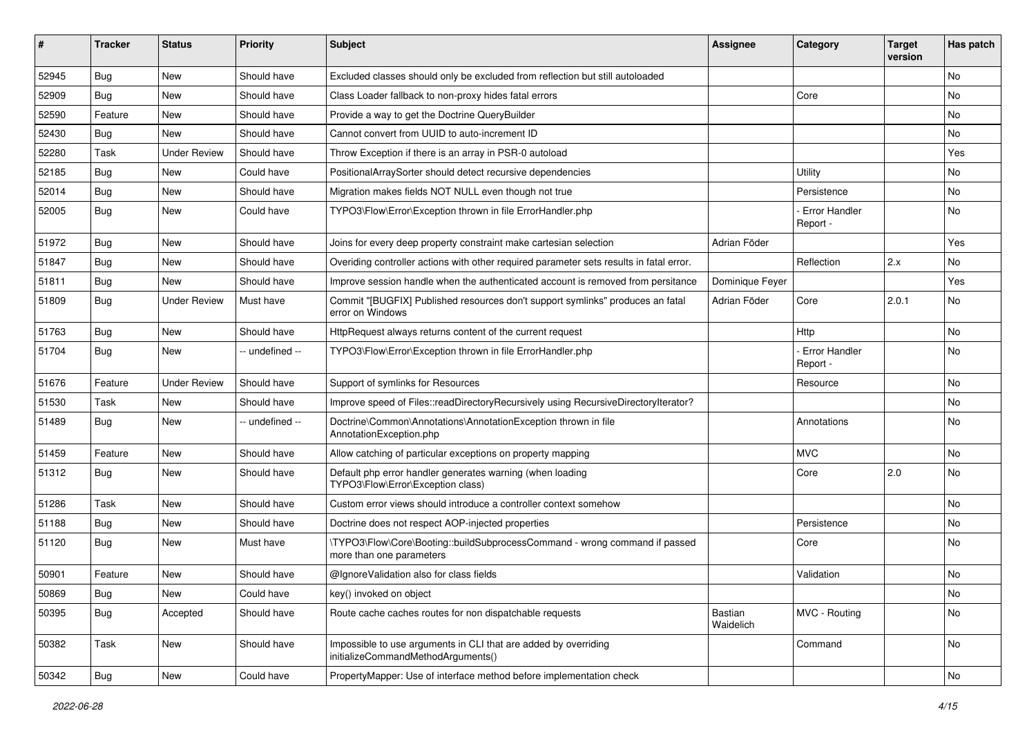| #     | <b>Tracker</b> | <b>Status</b>       | <b>Priority</b> | <b>Subject</b>                                                                                         | <b>Assignee</b>      | Category                         | <b>Target</b><br>version | Has patch |
|-------|----------------|---------------------|-----------------|--------------------------------------------------------------------------------------------------------|----------------------|----------------------------------|--------------------------|-----------|
| 52945 | Bug            | <b>New</b>          | Should have     | Excluded classes should only be excluded from reflection but still autoloaded                          |                      |                                  |                          | <b>No</b> |
| 52909 | <b>Bug</b>     | New                 | Should have     | Class Loader fallback to non-proxy hides fatal errors                                                  |                      | Core                             |                          | <b>No</b> |
| 52590 | Feature        | New                 | Should have     | Provide a way to get the Doctrine QueryBuilder                                                         |                      |                                  |                          | No        |
| 52430 | <b>Bug</b>     | New                 | Should have     | Cannot convert from UUID to auto-increment ID                                                          |                      |                                  |                          | No        |
| 52280 | Task           | <b>Under Review</b> | Should have     | Throw Exception if there is an array in PSR-0 autoload                                                 |                      |                                  |                          | Yes       |
| 52185 | Bug            | New                 | Could have      | PositionalArraySorter should detect recursive dependencies                                             |                      | Utility                          |                          | No        |
| 52014 | <b>Bug</b>     | New                 | Should have     | Migration makes fields NOT NULL even though not true                                                   |                      | Persistence                      |                          | No        |
| 52005 | <b>Bug</b>     | New                 | Could have      | TYPO3\Flow\Error\Exception thrown in file ErrorHandler.php                                             |                      | Error Handler<br>Report -        |                          | No        |
| 51972 | <b>Bug</b>     | <b>New</b>          | Should have     | Joins for every deep property constraint make cartesian selection                                      | Adrian Föder         |                                  |                          | Yes       |
| 51847 | <b>Bug</b>     | New                 | Should have     | Overiding controller actions with other required parameter sets results in fatal error.                |                      | Reflection                       | 2.x                      | <b>No</b> |
| 51811 | <b>Bug</b>     | New                 | Should have     | Improve session handle when the authenticated account is removed from persitance                       | Dominique Feyer      |                                  |                          | Yes       |
| 51809 | <b>Bug</b>     | <b>Under Review</b> | Must have       | Commit "[BUGFIX] Published resources don't support symlinks" produces an fatal<br>error on Windows     | Adrian Föder         | Core                             | 2.0.1                    | <b>No</b> |
| 51763 | <b>Bug</b>     | New                 | Should have     | HttpRequest always returns content of the current request                                              |                      | Http                             |                          | <b>No</b> |
| 51704 | <b>Bug</b>     | New                 | -- undefined -- | TYPO3\Flow\Error\Exception thrown in file ErrorHandler.php                                             |                      | <b>Error Handler</b><br>Report - |                          | <b>No</b> |
| 51676 | Feature        | <b>Under Review</b> | Should have     | Support of symlinks for Resources                                                                      |                      | Resource                         |                          | <b>No</b> |
| 51530 | Task           | New                 | Should have     | Improve speed of Files::readDirectoryRecursively using RecursiveDirectoryIterator?                     |                      |                                  |                          | No        |
| 51489 | Bug            | New                 | -- undefined -- | Doctrine\Common\Annotations\AnnotationException thrown in file<br>AnnotationException.php              |                      | Annotations                      |                          | No        |
| 51459 | Feature        | <b>New</b>          | Should have     | Allow catching of particular exceptions on property mapping                                            |                      | <b>MVC</b>                       |                          | <b>No</b> |
| 51312 | Bug            | New                 | Should have     | Default php error handler generates warning (when loading<br>TYPO3\Flow\Error\Exception class)         |                      | Core                             | 2.0                      | No        |
| 51286 | Task           | <b>New</b>          | Should have     | Custom error views should introduce a controller context somehow                                       |                      |                                  |                          | No        |
| 51188 | <b>Bug</b>     | New                 | Should have     | Doctrine does not respect AOP-injected properties                                                      |                      | Persistence                      |                          | <b>No</b> |
| 51120 | Bug            | New                 | Must have       | \TYPO3\Flow\Core\Booting::buildSubprocessCommand - wrong command if passed<br>more than one parameters |                      | Core                             |                          | <b>No</b> |
| 50901 | Feature        | New                 | Should have     | @IgnoreValidation also for class fields                                                                |                      | Validation                       |                          | No        |
| 50869 | Bug            | New                 | Could have      | key() invoked on object                                                                                |                      |                                  |                          | No        |
| 50395 | Bug            | Accepted            | Should have     | Route cache caches routes for non dispatchable requests                                                | Bastian<br>Waidelich | MVC - Routing                    |                          | No        |
| 50382 | Task           | New                 | Should have     | Impossible to use arguments in CLI that are added by overriding<br>initializeCommandMethodArguments()  |                      | Command                          |                          | No        |
| 50342 | <b>Bug</b>     | New                 | Could have      | PropertyMapper: Use of interface method before implementation check                                    |                      |                                  |                          | No        |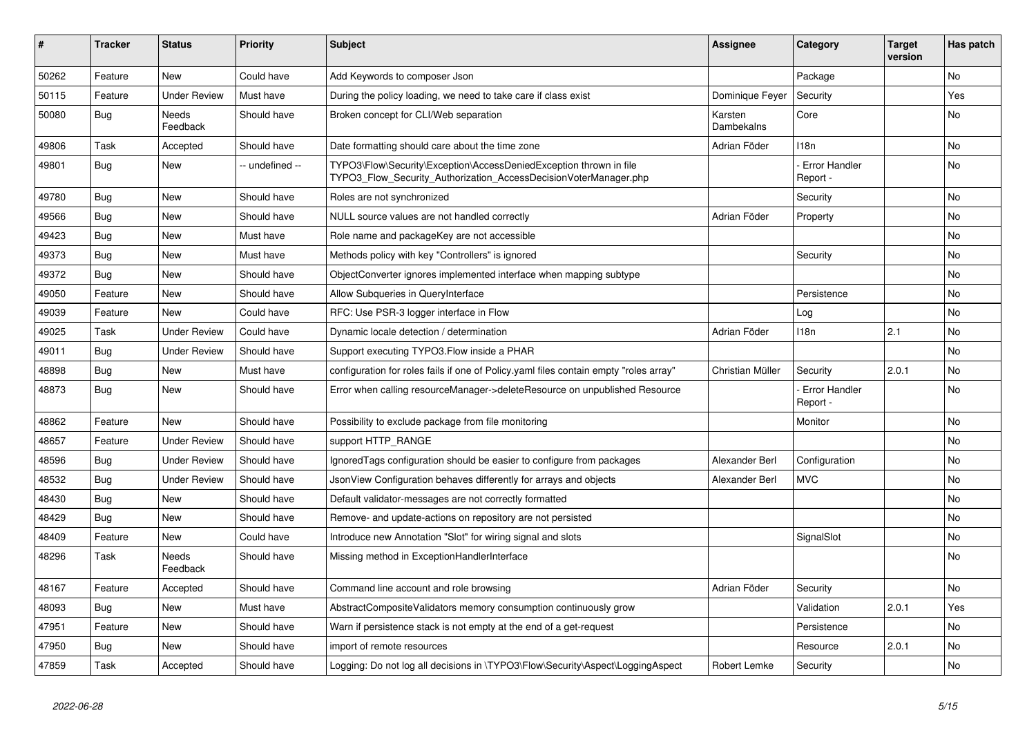| ∦     | <b>Tracker</b> | <b>Status</b>       | <b>Priority</b> | <b>Subject</b>                                                                                                                         | <b>Assignee</b>       | Category                         | <b>Target</b><br>version | Has patch      |
|-------|----------------|---------------------|-----------------|----------------------------------------------------------------------------------------------------------------------------------------|-----------------------|----------------------------------|--------------------------|----------------|
| 50262 | Feature        | <b>New</b>          | Could have      | Add Keywords to composer Json                                                                                                          |                       | Package                          |                          | N <sub>o</sub> |
| 50115 | Feature        | <b>Under Review</b> | Must have       | During the policy loading, we need to take care if class exist                                                                         | Dominique Fever       | Security                         |                          | Yes            |
| 50080 | Bug            | Needs<br>Feedback   | Should have     | Broken concept for CLI/Web separation                                                                                                  | Karsten<br>Dambekalns | Core                             |                          | No             |
| 49806 | Task           | Accepted            | Should have     | Date formatting should care about the time zone                                                                                        | Adrian Föder          | 118n                             |                          | No             |
| 49801 | Bug            | <b>New</b>          | - undefined --  | TYPO3\Flow\Security\Exception\AccessDeniedException thrown in file<br>TYPO3 Flow Security Authorization AccessDecisionVoterManager.php |                       | <b>Error Handler</b><br>Report - |                          | <b>No</b>      |
| 49780 | Bug            | <b>New</b>          | Should have     | Roles are not synchronized                                                                                                             |                       | Security                         |                          | <b>No</b>      |
| 49566 | Bug            | <b>New</b>          | Should have     | NULL source values are not handled correctly                                                                                           | Adrian Föder          | Property                         |                          | No             |
| 49423 | <b>Bug</b>     | <b>New</b>          | Must have       | Role name and packageKey are not accessible                                                                                            |                       |                                  |                          | No             |
| 49373 | Bug            | <b>New</b>          | Must have       | Methods policy with key "Controllers" is ignored                                                                                       |                       | Security                         |                          | <b>No</b>      |
| 49372 | <b>Bug</b>     | <b>New</b>          | Should have     | ObjectConverter ignores implemented interface when mapping subtype                                                                     |                       |                                  |                          | No             |
| 49050 | Feature        | <b>New</b>          | Should have     | Allow Subqueries in QueryInterface                                                                                                     |                       | Persistence                      |                          | No             |
| 49039 | Feature        | <b>New</b>          | Could have      | RFC: Use PSR-3 logger interface in Flow                                                                                                |                       | Log                              |                          | No             |
| 49025 | Task           | <b>Under Review</b> | Could have      | Dynamic locale detection / determination                                                                                               | Adrian Föder          | 118n                             | 2.1                      | <b>No</b>      |
| 49011 | Bug            | <b>Under Review</b> | Should have     | Support executing TYPO3. Flow inside a PHAR                                                                                            |                       |                                  |                          | No             |
| 48898 | Bug            | <b>New</b>          | Must have       | configuration for roles fails if one of Policy yaml files contain empty "roles array"                                                  | Christian Müller      | Security                         | 2.0.1                    | No             |
| 48873 | Bug            | <b>New</b>          | Should have     | Error when calling resourceManager->deleteResource on unpublished Resource                                                             |                       | Error Handler<br>Report -        |                          | No             |
| 48862 | Feature        | <b>New</b>          | Should have     | Possibility to exclude package from file monitoring                                                                                    |                       | Monitor                          |                          | No             |
| 48657 | Feature        | <b>Under Review</b> | Should have     | support HTTP RANGE                                                                                                                     |                       |                                  |                          | No             |
| 48596 | Bug            | <b>Under Review</b> | Should have     | Ignored Tags configuration should be easier to configure from packages                                                                 | Alexander Berl        | Configuration                    |                          | <b>No</b>      |
| 48532 | Bug            | <b>Under Review</b> | Should have     | JsonView Configuration behaves differently for arrays and objects                                                                      | Alexander Berl        | <b>MVC</b>                       |                          | No             |
| 48430 | Bug            | <b>New</b>          | Should have     | Default validator-messages are not correctly formatted                                                                                 |                       |                                  |                          | No             |
| 48429 | Bug            | <b>New</b>          | Should have     | Remove- and update-actions on repository are not persisted                                                                             |                       |                                  |                          | No             |
| 48409 | Feature        | <b>New</b>          | Could have      | Introduce new Annotation "Slot" for wiring signal and slots                                                                            |                       | SignalSlot                       |                          | No             |
| 48296 | Task           | Needs<br>Feedback   | Should have     | Missing method in ExceptionHandlerInterface                                                                                            |                       |                                  |                          | No             |
| 48167 | Feature        | Accepted            | Should have     | Command line account and role browsing                                                                                                 | Adrian Föder          | Security                         |                          | No             |
| 48093 | Bug            | <b>New</b>          | Must have       | AbstractCompositeValidators memory consumption continuously grow                                                                       |                       | Validation                       | 2.0.1                    | Yes            |
| 47951 | Feature        | <b>New</b>          | Should have     | Warn if persistence stack is not empty at the end of a get-request                                                                     |                       | Persistence                      |                          | No             |
| 47950 | Bug            | <b>New</b>          | Should have     | import of remote resources                                                                                                             |                       | Resource                         | 2.0.1                    | No             |
| 47859 | Task           | Accepted            | Should have     | Logging: Do not log all decisions in \TYPO3\Flow\Security\Aspect\LoggingAspect                                                         | Robert Lemke          | Security                         |                          | <b>No</b>      |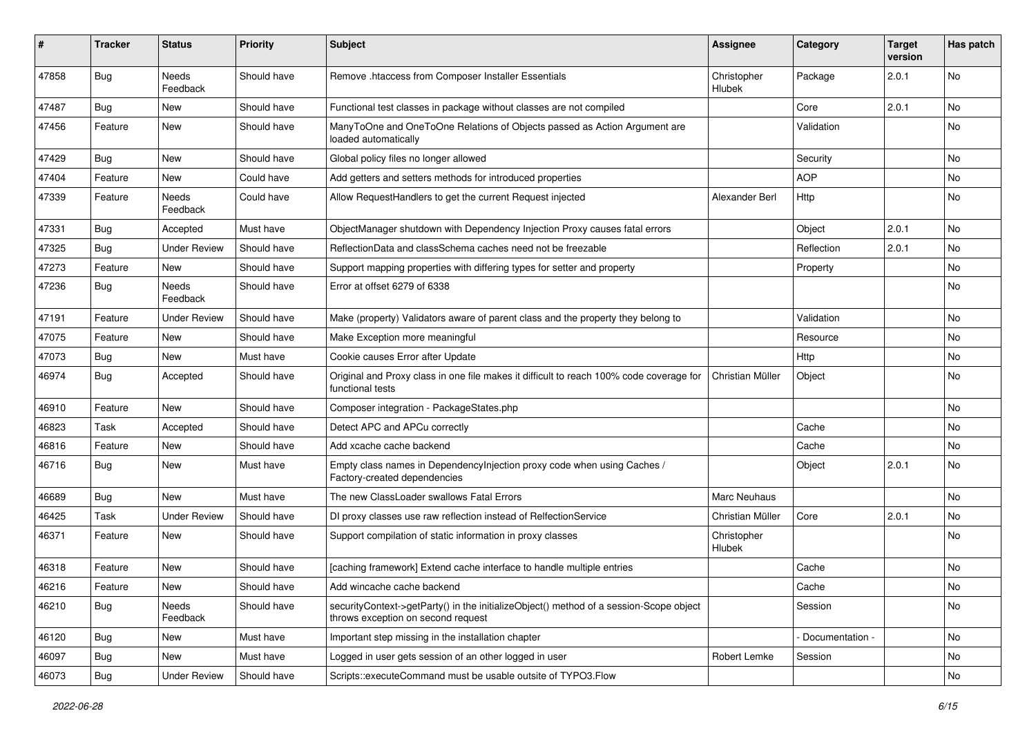| #     | Tracker    | <b>Status</b>       | <b>Priority</b> | <b>Subject</b>                                                                                                               | Assignee              | Category        | <b>Target</b><br>version | Has patch |
|-------|------------|---------------------|-----------------|------------------------------------------------------------------------------------------------------------------------------|-----------------------|-----------------|--------------------------|-----------|
| 47858 | <b>Bug</b> | Needs<br>Feedback   | Should have     | Remove .htaccess from Composer Installer Essentials                                                                          | Christopher<br>Hlubek | Package         | 2.0.1                    | No        |
| 47487 | Bug        | New                 | Should have     | Functional test classes in package without classes are not compiled                                                          |                       | Core            | 2.0.1                    | No        |
| 47456 | Feature    | New                 | Should have     | ManyToOne and OneToOne Relations of Objects passed as Action Argument are<br>loaded automatically                            |                       | Validation      |                          | No        |
| 47429 | <b>Bug</b> | New                 | Should have     | Global policy files no longer allowed                                                                                        |                       | Security        |                          | <b>No</b> |
| 47404 | Feature    | New                 | Could have      | Add getters and setters methods for introduced properties                                                                    |                       | <b>AOP</b>      |                          | No        |
| 47339 | Feature    | Needs<br>Feedback   | Could have      | Allow RequestHandlers to get the current Request injected                                                                    | Alexander Berl        | Http            |                          | No        |
| 47331 | <b>Bug</b> | Accepted            | Must have       | ObjectManager shutdown with Dependency Injection Proxy causes fatal errors                                                   |                       | Object          | 2.0.1                    | No        |
| 47325 | Bug        | <b>Under Review</b> | Should have     | ReflectionData and classSchema caches need not be freezable                                                                  |                       | Reflection      | 2.0.1                    | No        |
| 47273 | Feature    | New                 | Should have     | Support mapping properties with differing types for setter and property                                                      |                       | Property        |                          | No        |
| 47236 | <b>Bug</b> | Needs<br>Feedback   | Should have     | Error at offset 6279 of 6338                                                                                                 |                       |                 |                          | No        |
| 47191 | Feature    | <b>Under Review</b> | Should have     | Make (property) Validators aware of parent class and the property they belong to                                             |                       | Validation      |                          | No        |
| 47075 | Feature    | New                 | Should have     | Make Exception more meaningful                                                                                               |                       | Resource        |                          | No        |
| 47073 | <b>Bug</b> | New                 | Must have       | Cookie causes Error after Update                                                                                             |                       | Http            |                          | No        |
| 46974 | <b>Bug</b> | Accepted            | Should have     | Original and Proxy class in one file makes it difficult to reach 100% code coverage for<br>functional tests                  | Christian Müller      | Object          |                          | No        |
| 46910 | Feature    | New                 | Should have     | Composer integration - PackageStates.php                                                                                     |                       |                 |                          | No        |
| 46823 | Task       | Accepted            | Should have     | Detect APC and APCu correctly                                                                                                |                       | Cache           |                          | No        |
| 46816 | Feature    | New                 | Should have     | Add xcache cache backend                                                                                                     |                       | Cache           |                          | <b>No</b> |
| 46716 | <b>Bug</b> | New                 | Must have       | Empty class names in Dependencylnjection proxy code when using Caches /<br>Factory-created dependencies                      |                       | Object          | 2.0.1                    | No        |
| 46689 | <b>Bug</b> | New                 | Must have       | The new ClassLoader swallows Fatal Errors                                                                                    | <b>Marc Neuhaus</b>   |                 |                          | No        |
| 46425 | Task       | <b>Under Review</b> | Should have     | DI proxy classes use raw reflection instead of RelfectionService                                                             | Christian Müller      | Core            | 2.0.1                    | No.       |
| 46371 | Feature    | New                 | Should have     | Support compilation of static information in proxy classes                                                                   | Christopher<br>Hlubek |                 |                          | No        |
| 46318 | Feature    | New                 | Should have     | [caching framework] Extend cache interface to handle multiple entries                                                        |                       | Cache           |                          | No        |
| 46216 | Feature    | New                 | Should have     | Add wincache cache backend                                                                                                   |                       | Cache           |                          | No        |
| 46210 | Bug        | Needs<br>Feedback   | Should have     | securityContext->getParty() in the initializeObject() method of a session-Scope object<br>throws exception on second request |                       | Session         |                          | No        |
| 46120 | Bug        | New                 | Must have       | Important step missing in the installation chapter                                                                           |                       | Documentation - |                          | No        |
| 46097 | <b>Bug</b> | New                 | Must have       | Logged in user gets session of an other logged in user                                                                       | Robert Lemke          | Session         |                          | No        |
| 46073 | Bug        | <b>Under Review</b> | Should have     | Scripts::executeCommand must be usable outsite of TYPO3.Flow                                                                 |                       |                 |                          | No        |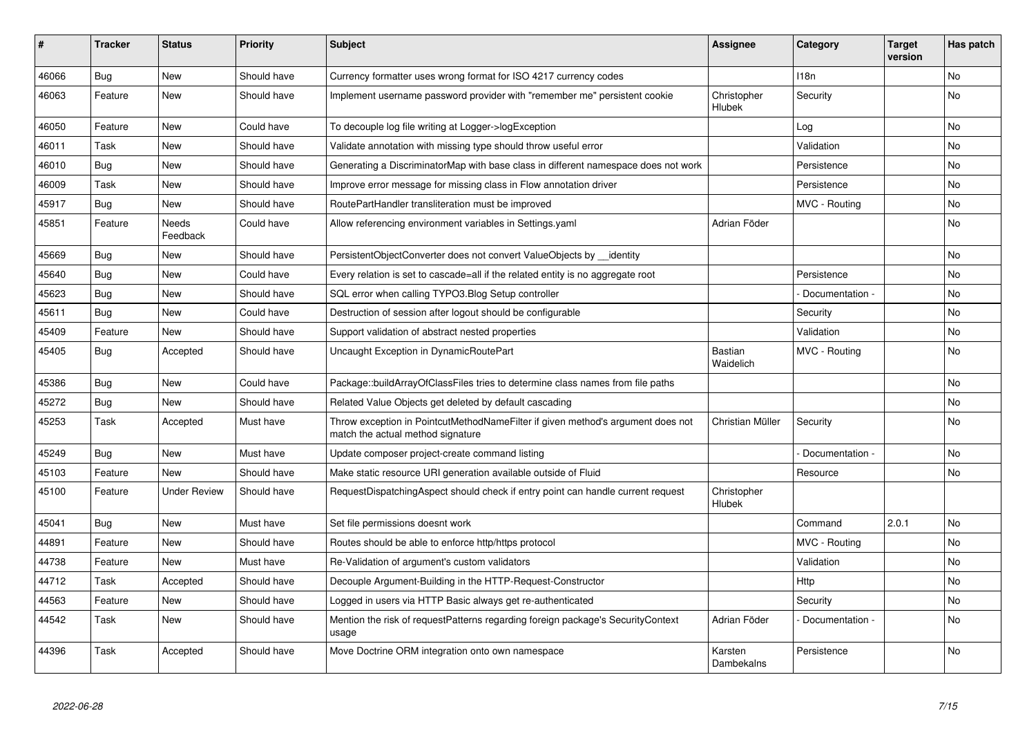| ∦     | <b>Tracker</b> | <b>Status</b>       | <b>Priority</b> | <b>Subject</b>                                                                                                       | <b>Assignee</b>       | Category         | <b>Target</b><br>version | Has patch |
|-------|----------------|---------------------|-----------------|----------------------------------------------------------------------------------------------------------------------|-----------------------|------------------|--------------------------|-----------|
| 46066 | <b>Bug</b>     | <b>New</b>          | Should have     | Currency formatter uses wrong format for ISO 4217 currency codes                                                     |                       | 118 <sub>n</sub> |                          | <b>No</b> |
| 46063 | Feature        | <b>New</b>          | Should have     | Implement username password provider with "remember me" persistent cookie                                            | Christopher<br>Hlubek | Security         |                          | No        |
| 46050 | Feature        | <b>New</b>          | Could have      | To decouple log file writing at Logger->logException                                                                 |                       | Log              |                          | <b>No</b> |
| 46011 | Task           | <b>New</b>          | Should have     | Validate annotation with missing type should throw useful error                                                      |                       | Validation       |                          | <b>No</b> |
| 46010 | Bug            | <b>New</b>          | Should have     | Generating a DiscriminatorMap with base class in different namespace does not work                                   |                       | Persistence      |                          | <b>No</b> |
| 46009 | Task           | <b>New</b>          | Should have     | Improve error message for missing class in Flow annotation driver                                                    |                       | Persistence      |                          | No        |
| 45917 | <b>Bug</b>     | <b>New</b>          | Should have     | RoutePartHandler transliteration must be improved                                                                    |                       | MVC - Routing    |                          | <b>No</b> |
| 45851 | Feature        | Needs<br>Feedback   | Could have      | Allow referencing environment variables in Settings yaml                                                             | Adrian Föder          |                  |                          | No        |
| 45669 | Bug            | <b>New</b>          | Should have     | PersistentObjectConverter does not convert ValueObjects by identity                                                  |                       |                  |                          | <b>No</b> |
| 45640 | Bug            | <b>New</b>          | Could have      | Every relation is set to cascade=all if the related entity is no aggregate root                                      |                       | Persistence      |                          | <b>No</b> |
| 45623 | <b>Bug</b>     | <b>New</b>          | Should have     | SQL error when calling TYPO3.Blog Setup controller                                                                   |                       | Documentation -  |                          | <b>No</b> |
| 45611 | Bug            | <b>New</b>          | Could have      | Destruction of session after logout should be configurable                                                           |                       | Security         |                          | No        |
| 45409 | Feature        | <b>New</b>          | Should have     | Support validation of abstract nested properties                                                                     |                       | Validation       |                          | No        |
| 45405 | <b>Bug</b>     | Accepted            | Should have     | Uncaught Exception in DynamicRoutePart                                                                               | Bastian<br>Waidelich  | MVC - Routing    |                          | <b>No</b> |
| 45386 | <b>Bug</b>     | <b>New</b>          | Could have      | Package::buildArrayOfClassFiles tries to determine class names from file paths                                       |                       |                  |                          | <b>No</b> |
| 45272 | Bug            | New                 | Should have     | Related Value Objects get deleted by default cascading                                                               |                       |                  |                          | No        |
| 45253 | Task           | Accepted            | Must have       | Throw exception in PointcutMethodNameFilter if given method's argument does not<br>match the actual method signature | Christian Müller      | Security         |                          | No        |
| 45249 | Bug            | <b>New</b>          | Must have       | Update composer project-create command listing                                                                       |                       | Documentation -  |                          | <b>No</b> |
| 45103 | Feature        | <b>New</b>          | Should have     | Make static resource URI generation available outside of Fluid                                                       |                       | Resource         |                          | <b>No</b> |
| 45100 | Feature        | <b>Under Review</b> | Should have     | RequestDispatchingAspect should check if entry point can handle current request                                      | Christopher<br>Hlubek |                  |                          |           |
| 45041 | Bug            | <b>New</b>          | Must have       | Set file permissions doesnt work                                                                                     |                       | Command          | 2.0.1                    | <b>No</b> |
| 44891 | Feature        | <b>New</b>          | Should have     | Routes should be able to enforce http/https protocol                                                                 |                       | MVC - Routing    |                          | <b>No</b> |
| 44738 | Feature        | <b>New</b>          | Must have       | Re-Validation of argument's custom validators                                                                        |                       | Validation       |                          | <b>No</b> |
| 44712 | Task           | Accepted            | Should have     | Decouple Argument-Building in the HTTP-Request-Constructor                                                           |                       | Http             |                          | No        |
| 44563 | Feature        | <b>New</b>          | Should have     | Logged in users via HTTP Basic always get re-authenticated                                                           |                       | Security         |                          | No        |
| 44542 | Task           | <b>New</b>          | Should have     | Mention the risk of requestPatterns regarding foreign package's SecurityContext<br>usage                             | Adrian Föder          | Documentation -  |                          | <b>No</b> |
| 44396 | Task           | Accepted            | Should have     | Move Doctrine ORM integration onto own namespace                                                                     | Karsten<br>Dambekalns | Persistence      |                          | <b>No</b> |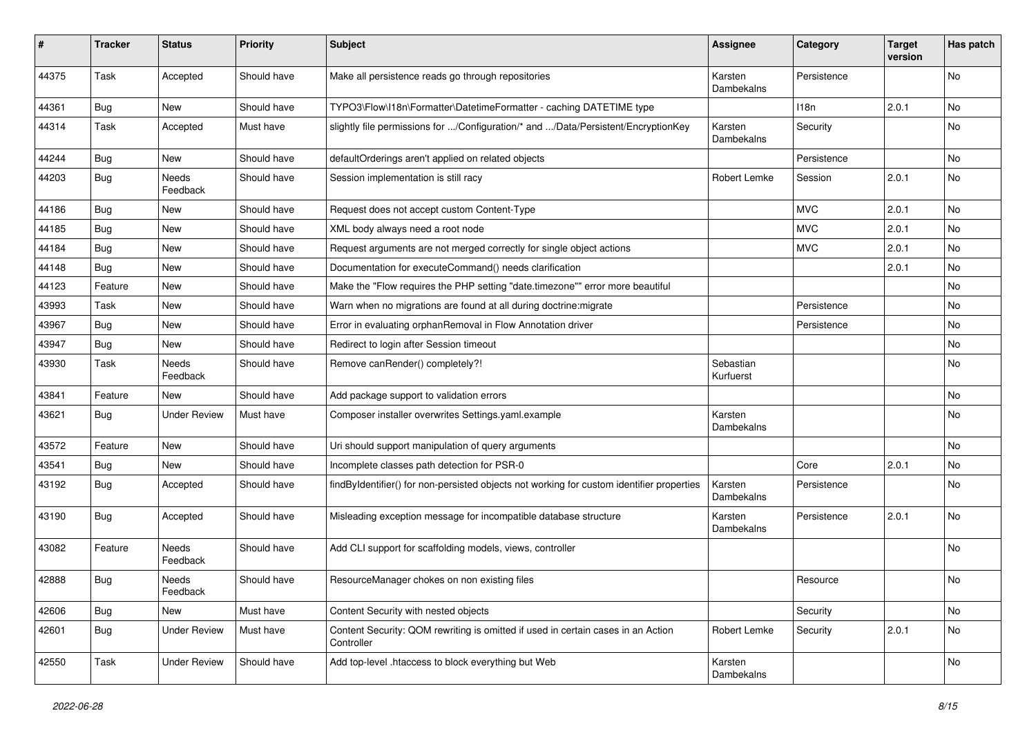| #     | <b>Tracker</b> | <b>Status</b>       | <b>Priority</b> | <b>Subject</b>                                                                                 | <b>Assignee</b>        | Category    | <b>Target</b><br>version | Has patch |
|-------|----------------|---------------------|-----------------|------------------------------------------------------------------------------------------------|------------------------|-------------|--------------------------|-----------|
| 44375 | Task           | Accepted            | Should have     | Make all persistence reads go through repositories                                             | Karsten<br>Dambekalns  | Persistence |                          | No        |
| 44361 | <b>Bug</b>     | New                 | Should have     | TYPO3\Flow\I18n\Formatter\DatetimeFormatter - caching DATETIME type                            |                        | 118n        | 2.0.1                    | No        |
| 44314 | Task           | Accepted            | Must have       | slightly file permissions for /Configuration/* and /Data/Persistent/EncryptionKey              | Karsten<br>Dambekalns  | Security    |                          | No        |
| 44244 | <b>Bug</b>     | New                 | Should have     | defaultOrderings aren't applied on related objects                                             |                        | Persistence |                          | <b>No</b> |
| 44203 | <b>Bug</b>     | Needs<br>Feedback   | Should have     | Session implementation is still racy                                                           | Robert Lemke           | Session     | 2.0.1                    | No        |
| 44186 | Bug            | <b>New</b>          | Should have     | Request does not accept custom Content-Type                                                    |                        | <b>MVC</b>  | 2.0.1                    | <b>No</b> |
| 44185 | <b>Bug</b>     | New                 | Should have     | XML body always need a root node                                                               |                        | <b>MVC</b>  | 2.0.1                    | No        |
| 44184 | Bug            | New                 | Should have     | Request arguments are not merged correctly for single object actions                           |                        | <b>MVC</b>  | 2.0.1                    | No        |
| 44148 | Bug            | New                 | Should have     | Documentation for executeCommand() needs clarification                                         |                        |             | 2.0.1                    | No        |
| 44123 | Feature        | New                 | Should have     | Make the "Flow requires the PHP setting "date.timezone"" error more beautiful                  |                        |             |                          | No        |
| 43993 | Task           | New                 | Should have     | Warn when no migrations are found at all during doctrine: migrate                              |                        | Persistence |                          | <b>No</b> |
| 43967 | Bug            | New                 | Should have     | Error in evaluating orphanRemoval in Flow Annotation driver                                    |                        | Persistence |                          | No        |
| 43947 | Bug            | New                 | Should have     | Redirect to login after Session timeout                                                        |                        |             |                          | No        |
| 43930 | Task           | Needs<br>Feedback   | Should have     | Remove canRender() completely?!                                                                | Sebastian<br>Kurfuerst |             |                          | No        |
| 43841 | Feature        | New                 | Should have     | Add package support to validation errors                                                       |                        |             |                          | No        |
| 43621 | <b>Bug</b>     | <b>Under Review</b> | Must have       | Composer installer overwrites Settings.yaml.example                                            | Karsten<br>Dambekalns  |             |                          | No        |
| 43572 | Feature        | New                 | Should have     | Uri should support manipulation of query arguments                                             |                        |             |                          | <b>No</b> |
| 43541 | Bug            | New                 | Should have     | Incomplete classes path detection for PSR-0                                                    |                        | Core        | 2.0.1                    | No        |
| 43192 | <b>Bug</b>     | Accepted            | Should have     | findByIdentifier() for non-persisted objects not working for custom identifier properties      | Karsten<br>Dambekalns  | Persistence |                          | No        |
| 43190 | <b>Bug</b>     | Accepted            | Should have     | Misleading exception message for incompatible database structure                               | Karsten<br>Dambekalns  | Persistence | 2.0.1                    | <b>No</b> |
| 43082 | Feature        | Needs<br>Feedback   | Should have     | Add CLI support for scaffolding models, views, controller                                      |                        |             |                          | No        |
| 42888 | Bug            | Needs<br>Feedback   | Should have     | ResourceManager chokes on non existing files                                                   |                        | Resource    |                          | No        |
| 42606 | Bug            | New                 | Must have       | Content Security with nested objects                                                           |                        | Security    |                          | No        |
| 42601 | <b>Bug</b>     | <b>Under Review</b> | Must have       | Content Security: QOM rewriting is omitted if used in certain cases in an Action<br>Controller | Robert Lemke           | Security    | 2.0.1                    | No        |
| 42550 | Task           | <b>Under Review</b> | Should have     | Add top-level .htaccess to block everything but Web                                            | Karsten<br>Dambekalns  |             |                          | No        |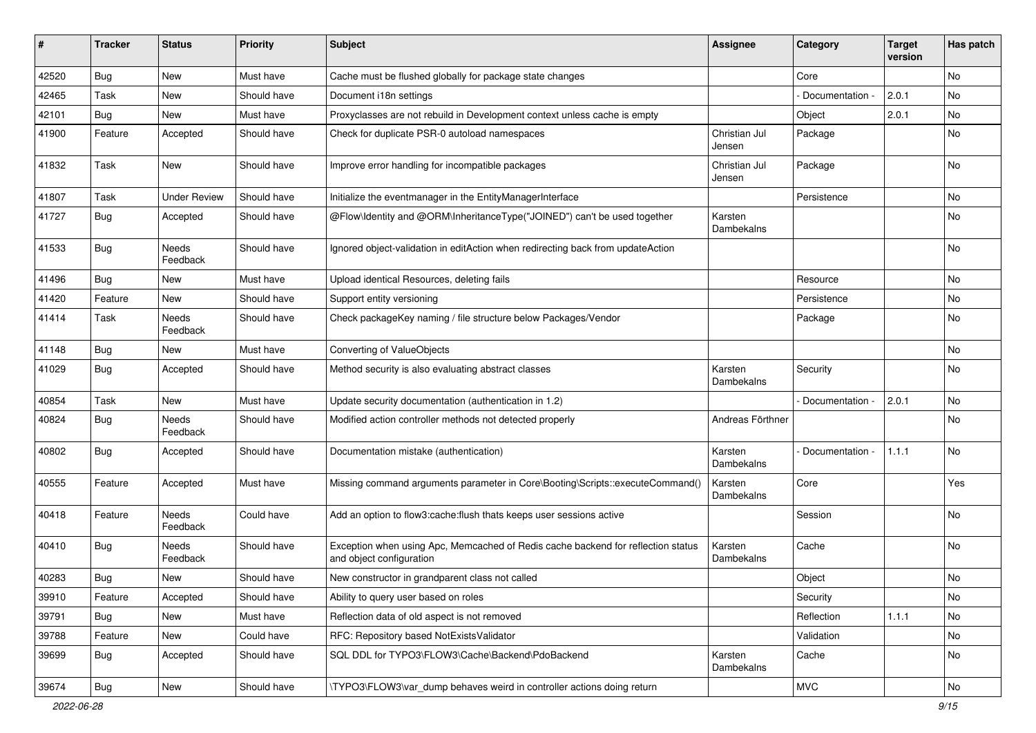| ∦     | <b>Tracker</b> | <b>Status</b>       | <b>Priority</b> | <b>Subject</b>                                                                                               | <b>Assignee</b>         | Category        | <b>Target</b><br>version | Has patch |
|-------|----------------|---------------------|-----------------|--------------------------------------------------------------------------------------------------------------|-------------------------|-----------------|--------------------------|-----------|
| 42520 | Bug            | New                 | Must have       | Cache must be flushed globally for package state changes                                                     |                         | Core            |                          | No        |
| 42465 | Task           | New                 | Should have     | Document i18n settings                                                                                       |                         | Documentation - | 2.0.1                    | No        |
| 42101 | Bug            | New                 | Must have       | Proxyclasses are not rebuild in Development context unless cache is empty                                    |                         | Object          | 2.0.1                    | No        |
| 41900 | Feature        | Accepted            | Should have     | Check for duplicate PSR-0 autoload namespaces                                                                | Christian Jul<br>Jensen | Package         |                          | No        |
| 41832 | Task           | <b>New</b>          | Should have     | Improve error handling for incompatible packages                                                             | Christian Jul<br>Jensen | Package         |                          | <b>No</b> |
| 41807 | Task           | <b>Under Review</b> | Should have     | Initialize the eventmanager in the EntityManagerInterface                                                    |                         | Persistence     |                          | No        |
| 41727 | Bug            | Accepted            | Should have     | @Flow\Identity and @ORM\InheritanceType("JOINED") can't be used together                                     | Karsten<br>Dambekalns   |                 |                          | No        |
| 41533 | Bug            | Needs<br>Feedback   | Should have     | Ignored object-validation in editAction when redirecting back from updateAction                              |                         |                 |                          | No        |
| 41496 | Bug            | <b>New</b>          | Must have       | Upload identical Resources, deleting fails                                                                   |                         | Resource        |                          | <b>No</b> |
| 41420 | Feature        | New                 | Should have     | Support entity versioning                                                                                    |                         | Persistence     |                          | No        |
| 41414 | Task           | Needs<br>Feedback   | Should have     | Check packageKey naming / file structure below Packages/Vendor                                               |                         | Package         |                          | No        |
| 41148 | <b>Bug</b>     | New                 | Must have       | Converting of ValueObjects                                                                                   |                         |                 |                          | <b>No</b> |
| 41029 | Bug            | Accepted            | Should have     | Method security is also evaluating abstract classes                                                          | Karsten<br>Dambekalns   | Security        |                          | No        |
| 40854 | Task           | New                 | Must have       | Update security documentation (authentication in 1.2)                                                        |                         | Documentation - | 2.0.1                    | No        |
| 40824 | <b>Bug</b>     | Needs<br>Feedback   | Should have     | Modified action controller methods not detected properly                                                     | Andreas Förthner        |                 |                          | No        |
| 40802 | <b>Bug</b>     | Accepted            | Should have     | Documentation mistake (authentication)                                                                       | Karsten<br>Dambekalns   | Documentation   | 1.1.1                    | <b>No</b> |
| 40555 | Feature        | Accepted            | Must have       | Missing command arguments parameter in Core\Booting\Scripts::executeCommand()                                | Karsten<br>Dambekalns   | Core            |                          | Yes       |
| 40418 | Feature        | Needs<br>Feedback   | Could have      | Add an option to flow3:cache:flush thats keeps user sessions active                                          |                         | Session         |                          | <b>No</b> |
| 40410 | Bug            | Needs<br>Feedback   | Should have     | Exception when using Apc, Memcached of Redis cache backend for reflection status<br>and object configuration | Karsten<br>Dambekalns   | Cache           |                          | No        |
| 40283 | <b>Bug</b>     | New                 | Should have     | New constructor in grandparent class not called                                                              |                         | Object          |                          | No        |
| 39910 | Feature        | Accepted            | Should have     | Ability to query user based on roles                                                                         |                         | Security        |                          | No        |
| 39791 | Bug            | New                 | Must have       | Reflection data of old aspect is not removed                                                                 |                         | Reflection      | 1.1.1                    | No        |
| 39788 | Feature        | New                 | Could have      | RFC: Repository based NotExistsValidator                                                                     |                         | Validation      |                          | No        |
| 39699 | Bug            | Accepted            | Should have     | SQL DDL for TYPO3\FLOW3\Cache\Backend\PdoBackend                                                             | Karsten<br>Dambekalns   | Cache           |                          | No        |
| 39674 | Bug            | New                 | Should have     | \TYPO3\FLOW3\var_dump behaves weird in controller actions doing return                                       |                         | <b>MVC</b>      |                          | No        |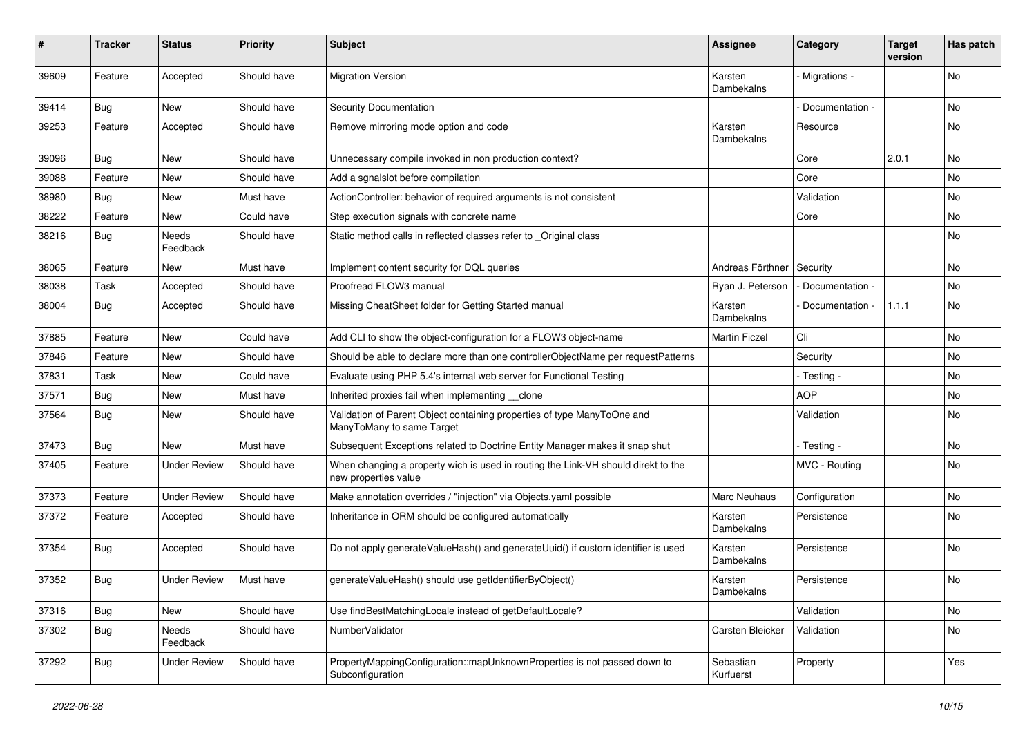| #     | <b>Tracker</b> | <b>Status</b>       | <b>Priority</b> | <b>Subject</b>                                                                                            | <b>Assignee</b>        | Category          | <b>Target</b><br>version | Has patch |
|-------|----------------|---------------------|-----------------|-----------------------------------------------------------------------------------------------------------|------------------------|-------------------|--------------------------|-----------|
| 39609 | Feature        | Accepted            | Should have     | <b>Migration Version</b>                                                                                  | Karsten<br>Dambekalns  | Migrations -      |                          | No        |
| 39414 | <b>Bug</b>     | New                 | Should have     | Security Documentation                                                                                    |                        | Documentation -   |                          | No        |
| 39253 | Feature        | Accepted            | Should have     | Remove mirroring mode option and code                                                                     | Karsten<br>Dambekalns  | Resource          |                          | No        |
| 39096 | Bug            | <b>New</b>          | Should have     | Unnecessary compile invoked in non production context?                                                    |                        | Core              | 2.0.1                    | <b>No</b> |
| 39088 | Feature        | New                 | Should have     | Add a sqnalslot before compilation                                                                        |                        | Core              |                          | No        |
| 38980 | <b>Bug</b>     | New                 | Must have       | ActionController: behavior of required arguments is not consistent                                        |                        | Validation        |                          | No        |
| 38222 | Feature        | New                 | Could have      | Step execution signals with concrete name                                                                 |                        | Core              |                          | No        |
| 38216 | Bug            | Needs<br>Feedback   | Should have     | Static method calls in reflected classes refer to _Original class                                         |                        |                   |                          | No        |
| 38065 | Feature        | New                 | Must have       | Implement content security for DQL queries                                                                | Andreas Förthner       | Security          |                          | No        |
| 38038 | Task           | Accepted            | Should have     | Proofread FLOW3 manual                                                                                    | Ryan J. Peterson       | - Documentation - |                          | No        |
| 38004 | Bug            | Accepted            | Should have     | Missing CheatSheet folder for Getting Started manual                                                      | Karsten<br>Dambekalns  | Documentation -   | 1.1.1                    | No        |
| 37885 | Feature        | <b>New</b>          | Could have      | Add CLI to show the object-configuration for a FLOW3 object-name                                          | <b>Martin Ficzel</b>   | Cli               |                          | <b>No</b> |
| 37846 | Feature        | New                 | Should have     | Should be able to declare more than one controllerObjectName per requestPatterns                          |                        | Security          |                          | No        |
| 37831 | Task           | New                 | Could have      | Evaluate using PHP 5.4's internal web server for Functional Testing                                       |                        | - Testing -       |                          | No        |
| 37571 | <b>Bug</b>     | New                 | Must have       | Inherited proxies fail when implementing clone                                                            |                        | <b>AOP</b>        |                          | No        |
| 37564 | Bug            | New                 | Should have     | Validation of Parent Object containing properties of type ManyToOne and<br>ManyToMany to same Target      |                        | Validation        |                          | No        |
| 37473 | Bug            | New                 | Must have       | Subsequent Exceptions related to Doctrine Entity Manager makes it snap shut                               |                        | - Testing -       |                          | <b>No</b> |
| 37405 | Feature        | <b>Under Review</b> | Should have     | When changing a property wich is used in routing the Link-VH should direkt to the<br>new properties value |                        | MVC - Routing     |                          | No        |
| 37373 | Feature        | <b>Under Review</b> | Should have     | Make annotation overrides / "injection" via Objects.yaml possible                                         | Marc Neuhaus           | Configuration     |                          | No        |
| 37372 | Feature        | Accepted            | Should have     | Inheritance in ORM should be configured automatically                                                     | Karsten<br>Dambekalns  | Persistence       |                          | No        |
| 37354 | <b>Bug</b>     | Accepted            | Should have     | Do not apply generateValueHash() and generateUuid() if custom identifier is used                          | Karsten<br>Dambekalns  | Persistence       |                          | No        |
| 37352 | <b>Bug</b>     | <b>Under Review</b> | Must have       | generateValueHash() should use getIdentifierByObject()                                                    | Karsten<br>Dambekalns  | Persistence       |                          | No        |
| 37316 | <b>Bug</b>     | New                 | Should have     | Use findBestMatchingLocale instead of getDefaultLocale?                                                   |                        | Validation        |                          | No        |
| 37302 | <b>Bug</b>     | Needs<br>Feedback   | Should have     | NumberValidator                                                                                           | Carsten Bleicker       | Validation        |                          | No        |
| 37292 | Bug            | <b>Under Review</b> | Should have     | PropertyMappingConfiguration::mapUnknownProperties is not passed down to<br>Subconfiguration              | Sebastian<br>Kurfuerst | Property          |                          | Yes       |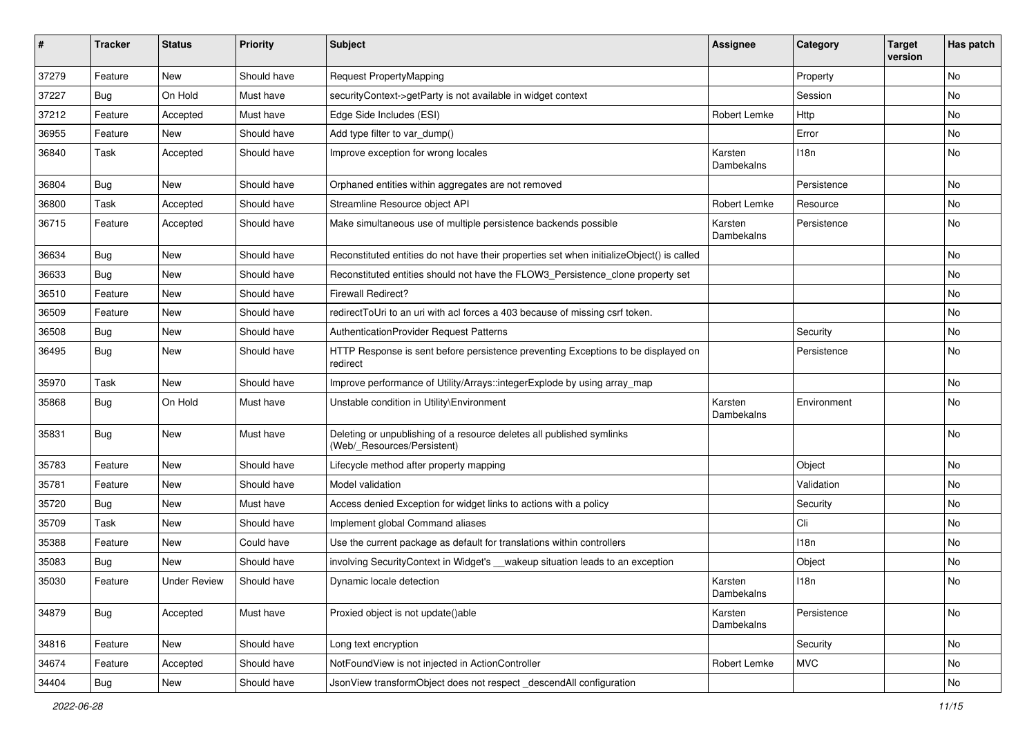| #     | <b>Tracker</b>   | <b>Status</b>       | <b>Priority</b> | <b>Subject</b>                                                                                       | <b>Assignee</b>       | Category    | <b>Target</b><br>version | Has patch |
|-------|------------------|---------------------|-----------------|------------------------------------------------------------------------------------------------------|-----------------------|-------------|--------------------------|-----------|
| 37279 | Feature          | <b>New</b>          | Should have     | <b>Request PropertyMapping</b>                                                                       |                       | Property    |                          | No        |
| 37227 | <b>Bug</b>       | On Hold             | Must have       | securityContext->getParty is not available in widget context                                         |                       | Session     |                          | No        |
| 37212 | Feature          | Accepted            | Must have       | Edge Side Includes (ESI)                                                                             | Robert Lemke          | Http        |                          | No        |
| 36955 | Feature          | <b>New</b>          | Should have     | Add type filter to var_dump()                                                                        |                       | Error       |                          | No        |
| 36840 | Task             | Accepted            | Should have     | Improve exception for wrong locales                                                                  | Karsten<br>Dambekalns | 118n        |                          | No        |
| 36804 | <b>Bug</b>       | New                 | Should have     | Orphaned entities within aggregates are not removed                                                  |                       | Persistence |                          | No        |
| 36800 | Task             | Accepted            | Should have     | Streamline Resource object API                                                                       | Robert Lemke          | Resource    |                          | <b>No</b> |
| 36715 | Feature          | Accepted            | Should have     | Make simultaneous use of multiple persistence backends possible                                      | Karsten<br>Dambekalns | Persistence |                          | No        |
| 36634 | Bug              | New                 | Should have     | Reconstituted entities do not have their properties set when initializeObject() is called            |                       |             |                          | No        |
| 36633 | Bug              | <b>New</b>          | Should have     | Reconstituted entities should not have the FLOW3_Persistence_clone property set                      |                       |             |                          | No        |
| 36510 | Feature          | <b>New</b>          | Should have     | <b>Firewall Redirect?</b>                                                                            |                       |             |                          | No        |
| 36509 | Feature          | <b>New</b>          | Should have     | redirectToUri to an uri with acl forces a 403 because of missing csrf token.                         |                       |             |                          | <b>No</b> |
| 36508 | <b>Bug</b>       | New                 | Should have     | AuthenticationProvider Request Patterns                                                              |                       | Security    |                          | No        |
| 36495 | <b>Bug</b>       | New                 | Should have     | HTTP Response is sent before persistence preventing Exceptions to be displayed on<br>redirect        |                       | Persistence |                          | No        |
| 35970 | Task             | <b>New</b>          | Should have     | Improve performance of Utility/Arrays::integerExplode by using array_map                             |                       |             |                          | <b>No</b> |
| 35868 | <b>Bug</b>       | On Hold             | Must have       | Unstable condition in Utility\Environment                                                            | Karsten<br>Dambekalns | Environment |                          | No        |
| 35831 | Bug              | <b>New</b>          | Must have       | Deleting or unpublishing of a resource deletes all published symlinks<br>(Web/_Resources/Persistent) |                       |             |                          | No        |
| 35783 | Feature          | <b>New</b>          | Should have     | Lifecycle method after property mapping                                                              |                       | Object      |                          | No        |
| 35781 | Feature          | New                 | Should have     | Model validation                                                                                     |                       | Validation  |                          | <b>No</b> |
| 35720 | Bug              | <b>New</b>          | Must have       | Access denied Exception for widget links to actions with a policy                                    |                       | Security    |                          | No        |
| 35709 | Task             | <b>New</b>          | Should have     | Implement global Command aliases                                                                     |                       | Cli         |                          | No        |
| 35388 | Feature          | New                 | Could have      | Use the current package as default for translations within controllers                               |                       | 118n        |                          | No        |
| 35083 | <b>Bug</b>       | <b>New</b>          | Should have     | involving SecurityContext in Widget's __wakeup situation leads to an exception                       |                       | Object      |                          | No        |
| 35030 | Feature          | <b>Under Review</b> | Should have     | Dynamic locale detection                                                                             | Karsten<br>Dambekalns | 118n        |                          | No        |
| 34879 | Bug              | Accepted            | Must have       | Proxied object is not update()able                                                                   | Karsten<br>Dambekalns | Persistence |                          | No        |
| 34816 | Feature          | New                 | Should have     | Long text encryption                                                                                 |                       | Security    |                          | No        |
| 34674 | Feature          | Accepted            | Should have     | NotFoundView is not injected in ActionController                                                     | Robert Lemke          | <b>MVC</b>  |                          | No        |
| 34404 | <sub>I</sub> Bug | New                 | Should have     | JsonView transformObject does not respect descendAll configuration                                   |                       |             |                          | No        |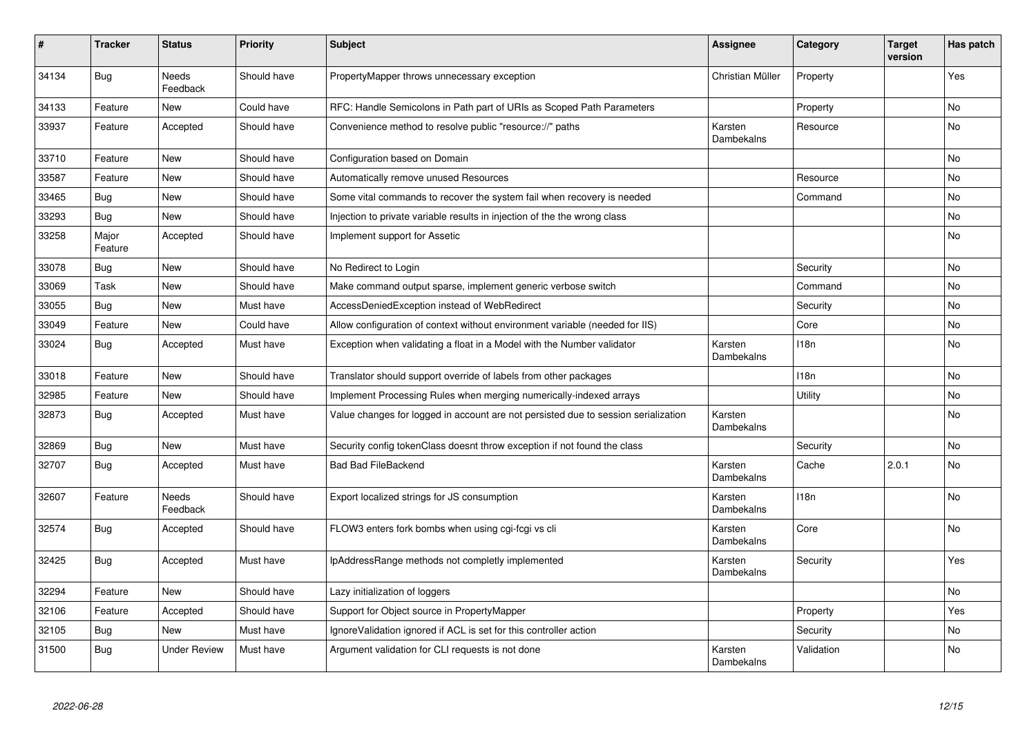| #     | <b>Tracker</b>   | <b>Status</b>            | <b>Priority</b> | <b>Subject</b>                                                                     | <b>Assignee</b>       | Category   | <b>Target</b><br>version | Has patch      |
|-------|------------------|--------------------------|-----------------|------------------------------------------------------------------------------------|-----------------------|------------|--------------------------|----------------|
| 34134 | <b>Bug</b>       | <b>Needs</b><br>Feedback | Should have     | PropertyMapper throws unnecessary exception                                        | Christian Müller      | Property   |                          | Yes            |
| 34133 | Feature          | <b>New</b>               | Could have      | RFC: Handle Semicolons in Path part of URIs as Scoped Path Parameters              |                       | Property   |                          | <b>No</b>      |
| 33937 | Feature          | Accepted                 | Should have     | Convenience method to resolve public "resource://" paths                           | Karsten<br>Dambekalns | Resource   |                          | No             |
| 33710 | Feature          | <b>New</b>               | Should have     | Configuration based on Domain                                                      |                       |            |                          | No             |
| 33587 | Feature          | <b>New</b>               | Should have     | Automatically remove unused Resources                                              |                       | Resource   |                          | <b>No</b>      |
| 33465 | Bug              | <b>New</b>               | Should have     | Some vital commands to recover the system fail when recovery is needed             |                       | Command    |                          | No             |
| 33293 | Bug              | <b>New</b>               | Should have     | Injection to private variable results in injection of the the wrong class          |                       |            |                          | No             |
| 33258 | Major<br>Feature | Accepted                 | Should have     | Implement support for Assetic                                                      |                       |            |                          | No             |
| 33078 | <b>Bug</b>       | <b>New</b>               | Should have     | No Redirect to Login                                                               |                       | Security   |                          | <b>No</b>      |
| 33069 | Task             | <b>New</b>               | Should have     | Make command output sparse, implement generic verbose switch                       |                       | Command    |                          | <b>No</b>      |
| 33055 | Bug              | <b>New</b>               | Must have       | AccessDeniedException instead of WebRedirect                                       |                       | Security   |                          | No             |
| 33049 | Feature          | New                      | Could have      | Allow configuration of context without environment variable (needed for IIS)       |                       | Core       |                          | No             |
| 33024 | <b>Bug</b>       | Accepted                 | Must have       | Exception when validating a float in a Model with the Number validator             | Karsten<br>Dambekalns | 118n       |                          | No             |
| 33018 | Feature          | <b>New</b>               | Should have     | Translator should support override of labels from other packages                   |                       | 118n       |                          | No             |
| 32985 | Feature          | <b>New</b>               | Should have     | Implement Processing Rules when merging numerically-indexed arrays                 |                       | Utility    |                          | N <sub>o</sub> |
| 32873 | Bug              | Accepted                 | Must have       | Value changes for logged in account are not persisted due to session serialization | Karsten<br>Dambekalns |            |                          | No             |
| 32869 | <b>Bug</b>       | <b>New</b>               | Must have       | Security config tokenClass doesnt throw exception if not found the class           |                       | Security   |                          | <b>No</b>      |
| 32707 | Bug              | Accepted                 | Must have       | <b>Bad Bad FileBackend</b>                                                         | Karsten<br>Dambekalns | Cache      | 2.0.1                    | No             |
| 32607 | Feature          | Needs<br>Feedback        | Should have     | Export localized strings for JS consumption                                        | Karsten<br>Dambekalns | 118n       |                          | No             |
| 32574 | <b>Bug</b>       | Accepted                 | Should have     | FLOW3 enters fork bombs when using cgi-fcgi vs cli                                 | Karsten<br>Dambekalns | Core       |                          | No             |
| 32425 | Bug              | Accepted                 | Must have       | IpAddressRange methods not completly implemented                                   | Karsten<br>Dambekalns | Security   |                          | Yes            |
| 32294 | Feature          | <b>New</b>               | Should have     | Lazy initialization of loggers                                                     |                       |            |                          | No             |
| 32106 | Feature          | Accepted                 | Should have     | Support for Object source in PropertyMapper                                        |                       | Property   |                          | Yes            |
| 32105 | Bug              | <b>New</b>               | Must have       | Ignore Validation ignored if ACL is set for this controller action                 |                       | Security   |                          | No             |
| 31500 | <b>Bug</b>       | <b>Under Review</b>      | Must have       | Argument validation for CLI requests is not done                                   | Karsten<br>Dambekalns | Validation |                          | No             |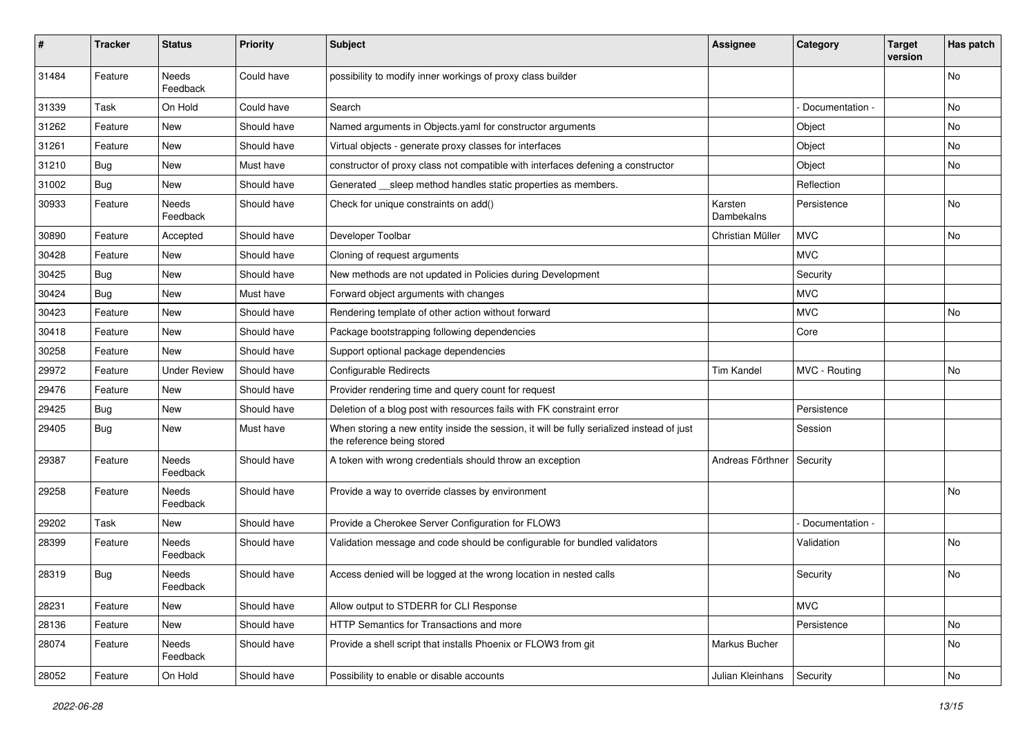| #     | <b>Tracker</b> | <b>Status</b>       | <b>Priority</b> | <b>Subject</b>                                                                                                          | Assignee              | Category        | <b>Target</b><br>version | Has patch |
|-------|----------------|---------------------|-----------------|-------------------------------------------------------------------------------------------------------------------------|-----------------------|-----------------|--------------------------|-----------|
| 31484 | Feature        | Needs<br>Feedback   | Could have      | possibility to modify inner workings of proxy class builder                                                             |                       |                 |                          | No        |
| 31339 | Task           | On Hold             | Could have      | Search                                                                                                                  |                       | Documentation - |                          | No        |
| 31262 | Feature        | <b>New</b>          | Should have     | Named arguments in Objects.yaml for constructor arguments                                                               |                       | Object          |                          | No        |
| 31261 | Feature        | New                 | Should have     | Virtual objects - generate proxy classes for interfaces                                                                 |                       | Object          |                          | No        |
| 31210 | <b>Bug</b>     | New                 | Must have       | constructor of proxy class not compatible with interfaces defening a constructor                                        |                       | Object          |                          | No.       |
| 31002 | Bug            | New                 | Should have     | Generated __ sleep method handles static properties as members.                                                         |                       | Reflection      |                          |           |
| 30933 | Feature        | Needs<br>Feedback   | Should have     | Check for unique constraints on add()                                                                                   | Karsten<br>Dambekalns | Persistence     |                          | <b>No</b> |
| 30890 | Feature        | Accepted            | Should have     | Developer Toolbar                                                                                                       | Christian Müller      | <b>MVC</b>      |                          | No        |
| 30428 | Feature        | New                 | Should have     | Cloning of request arguments                                                                                            |                       | <b>MVC</b>      |                          |           |
| 30425 | <b>Bug</b>     | <b>New</b>          | Should have     | New methods are not updated in Policies during Development                                                              |                       | Security        |                          |           |
| 30424 | <b>Bug</b>     | New                 | Must have       | Forward object arguments with changes                                                                                   |                       | <b>MVC</b>      |                          |           |
| 30423 | Feature        | New                 | Should have     | Rendering template of other action without forward                                                                      |                       | <b>MVC</b>      |                          | No.       |
| 30418 | Feature        | New                 | Should have     | Package bootstrapping following dependencies                                                                            |                       | Core            |                          |           |
| 30258 | Feature        | New                 | Should have     | Support optional package dependencies                                                                                   |                       |                 |                          |           |
| 29972 | Feature        | <b>Under Review</b> | Should have     | Configurable Redirects                                                                                                  | <b>Tim Kandel</b>     | MVC - Routing   |                          | No        |
| 29476 | Feature        | New                 | Should have     | Provider rendering time and query count for request                                                                     |                       |                 |                          |           |
| 29425 | <b>Bug</b>     | New                 | Should have     | Deletion of a blog post with resources fails with FK constraint error                                                   |                       | Persistence     |                          |           |
| 29405 | <b>Bug</b>     | New                 | Must have       | When storing a new entity inside the session, it will be fully serialized instead of just<br>the reference being stored |                       | Session         |                          |           |
| 29387 | Feature        | Needs<br>Feedback   | Should have     | A token with wrong credentials should throw an exception                                                                | Andreas Förthner      | Security        |                          |           |
| 29258 | Feature        | Needs<br>Feedback   | Should have     | Provide a way to override classes by environment                                                                        |                       |                 |                          | No        |
| 29202 | Task           | New                 | Should have     | Provide a Cherokee Server Configuration for FLOW3                                                                       |                       | Documentation - |                          |           |
| 28399 | Feature        | Needs<br>Feedback   | Should have     | Validation message and code should be configurable for bundled validators                                               |                       | Validation      |                          | No.       |
| 28319 | <b>Bug</b>     | Needs<br>Feedback   | Should have     | Access denied will be logged at the wrong location in nested calls                                                      |                       | Security        |                          | No        |
| 28231 | Feature        | New                 | Should have     | Allow output to STDERR for CLI Response                                                                                 |                       | <b>MVC</b>      |                          |           |
| 28136 | Feature        | New                 | Should have     | HTTP Semantics for Transactions and more                                                                                |                       | Persistence     |                          | No        |
| 28074 | Feature        | Needs<br>Feedback   | Should have     | Provide a shell script that installs Phoenix or FLOW3 from git                                                          | Markus Bucher         |                 |                          | No        |
| 28052 | Feature        | On Hold             | Should have     | Possibility to enable or disable accounts                                                                               | Julian Kleinhans      | Security        |                          | No        |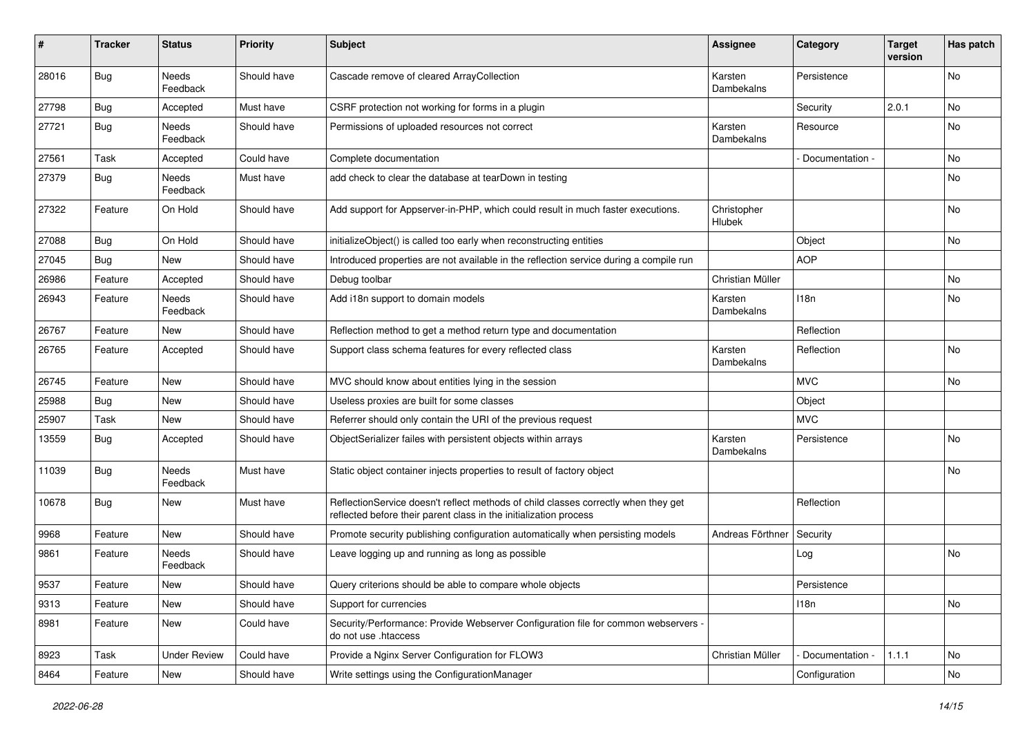| #     | <b>Tracker</b> | <b>Status</b>            | <b>Priority</b> | Subject                                                                                                                                                 | <b>Assignee</b>       | Category        | <b>Target</b><br>version | Has patch |
|-------|----------------|--------------------------|-----------------|---------------------------------------------------------------------------------------------------------------------------------------------------------|-----------------------|-----------------|--------------------------|-----------|
| 28016 | <b>Bug</b>     | Needs<br>Feedback        | Should have     | Cascade remove of cleared ArrayCollection                                                                                                               | Karsten<br>Dambekalns | Persistence     |                          | No        |
| 27798 | <b>Bug</b>     | Accepted                 | Must have       | CSRF protection not working for forms in a plugin                                                                                                       |                       | Security        | 2.0.1                    | No        |
| 27721 | <b>Bug</b>     | Needs<br>Feedback        | Should have     | Permissions of uploaded resources not correct                                                                                                           | Karsten<br>Dambekalns | Resource        |                          | No        |
| 27561 | Task           | Accepted                 | Could have      | Complete documentation                                                                                                                                  |                       | Documentation - |                          | <b>No</b> |
| 27379 | <b>Bug</b>     | Needs<br>Feedback        | Must have       | add check to clear the database at tearDown in testing                                                                                                  |                       |                 |                          | No        |
| 27322 | Feature        | On Hold                  | Should have     | Add support for Appserver-in-PHP, which could result in much faster executions.                                                                         | Christopher<br>Hlubek |                 |                          | No        |
| 27088 | <b>Bug</b>     | On Hold                  | Should have     | initializeObject() is called too early when reconstructing entities                                                                                     |                       | Object          |                          | No        |
| 27045 | Bug            | <b>New</b>               | Should have     | Introduced properties are not available in the reflection service during a compile run                                                                  |                       | <b>AOP</b>      |                          |           |
| 26986 | Feature        | Accepted                 | Should have     | Debug toolbar                                                                                                                                           | Christian Müller      |                 |                          | <b>No</b> |
| 26943 | Feature        | <b>Needs</b><br>Feedback | Should have     | Add i18n support to domain models                                                                                                                       | Karsten<br>Dambekalns | 118n            |                          | No        |
| 26767 | Feature        | New                      | Should have     | Reflection method to get a method return type and documentation                                                                                         |                       | Reflection      |                          |           |
| 26765 | Feature        | Accepted                 | Should have     | Support class schema features for every reflected class                                                                                                 | Karsten<br>Dambekalns | Reflection      |                          | No        |
| 26745 | Feature        | <b>New</b>               | Should have     | MVC should know about entities lying in the session                                                                                                     |                       | <b>MVC</b>      |                          | <b>No</b> |
| 25988 | Bug            | New                      | Should have     | Useless proxies are built for some classes                                                                                                              |                       | Object          |                          |           |
| 25907 | Task           | New                      | Should have     | Referrer should only contain the URI of the previous request                                                                                            |                       | <b>MVC</b>      |                          |           |
| 13559 | <b>Bug</b>     | Accepted                 | Should have     | ObjectSerializer failes with persistent objects within arrays                                                                                           | Karsten<br>Dambekalns | Persistence     |                          | No        |
| 11039 | Bug            | Needs<br>Feedback        | Must have       | Static object container injects properties to result of factory object                                                                                  |                       |                 |                          | No        |
| 10678 | <b>Bug</b>     | New                      | Must have       | ReflectionService doesn't reflect methods of child classes correctly when they get<br>reflected before their parent class in the initialization process |                       | Reflection      |                          |           |
| 9968  | Feature        | New                      | Should have     | Promote security publishing configuration automatically when persisting models                                                                          | Andreas Förthner      | Security        |                          |           |
| 9861  | Feature        | Needs<br>Feedback        | Should have     | Leave logging up and running as long as possible                                                                                                        |                       | Log             |                          | <b>No</b> |
| 9537  | Feature        | New                      | Should have     | Query criterions should be able to compare whole objects                                                                                                |                       | Persistence     |                          |           |
| 9313  | Feature        | New                      | Should have     | Support for currencies                                                                                                                                  |                       | 118n            |                          | No        |
| 8981  | Feature        | New                      | Could have      | Security/Performance: Provide Webserver Configuration file for common webservers -<br>do not use .htaccess                                              |                       |                 |                          |           |
| 8923  | Task           | <b>Under Review</b>      | Could have      | Provide a Nginx Server Configuration for FLOW3                                                                                                          | Christian Müller      | Documentation - | 1.1.1                    | No        |
| 8464  | Feature        | New                      | Should have     | Write settings using the ConfigurationManager                                                                                                           |                       | Configuration   |                          | No        |